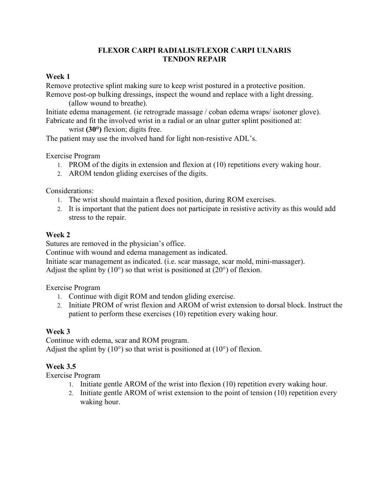## **FLEXOR CARPI RADIALIS/FLEXOR CARPI ULNARIS TENDON REPAIR**

### **Week 1**

Remove protective splint making sure to keep wrist postured in a protective position. Remove post-op bulking dressings, inspect the wound and replace with a light dressing.

(allow wound to breathe).

Initiate edema management. (ie retrograde massage / coban edema wraps/ isotoner glove). Fabricate and fit the involved wrist in a radial or an ulnar gutter splint positioned at:

wrist **(30°)** flexion; digits free.

The patient may use the involved hand for light non-resistive ADL's.

Exercise Program

- 1. PROM of the digits in extension and flexion at (10) repetitions every waking hour.
- 2. AROM tendon gliding exercises of the digits.

Considerations:

- 1. The wrist should maintain a flexed position, during ROM exercises.
- 2. It is important that the patient does not participate in resistive activity as this would add stress to the repair.

## **Week 2**

Sutures are removed in the physician's office.

Continue with wound and edema management as indicated.

Initiate scar management as indicated. (i.e. scar massage, scar mold, mini-massager). Adjust the splint by  $(10^{\circ})$  so that wrist is positioned at  $(20^{\circ})$  of flexion.

Exercise Program

- 1. Continue with digit ROM and tendon gliding exercise.
- 2. Initiate PROM of wrist flexion and AROM of wrist extension to dorsal block. Instruct the patient to perform these exercises (10) repetition every waking hour.

# **Week 3**

Continue with edema, scar and ROM program. Adjust the splint by  $(10^{\circ})$  so that wrist is positioned at  $(10^{\circ})$  of flexion.

# **Week 3.5**

Exercise Program

- 1. Initiate gentle AROM of the wrist into flexion (10) repetition every waking hour.
- 2. Initiate gentle AROM of wrist extension to the point of tension (10) repetition every waking hour.